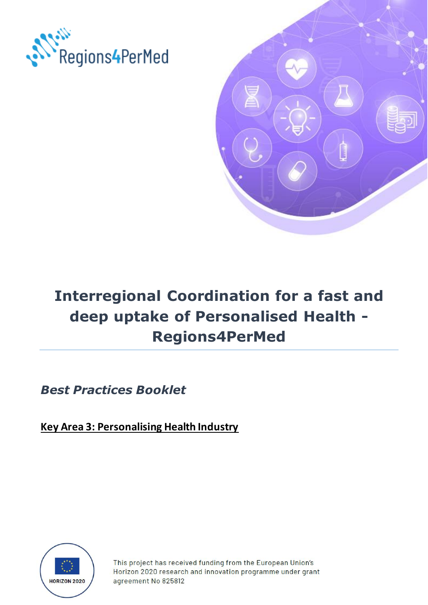



# **Interregional Coordination for a fast and deep uptake of Personalised Health - Regions4PerMed**

*Best Practices Booklet*

**Key Area 3: Personalising Health Industry**



This project has received funding from the European Union's Horizon 2020 research and innovation programme under grant agreement No 825812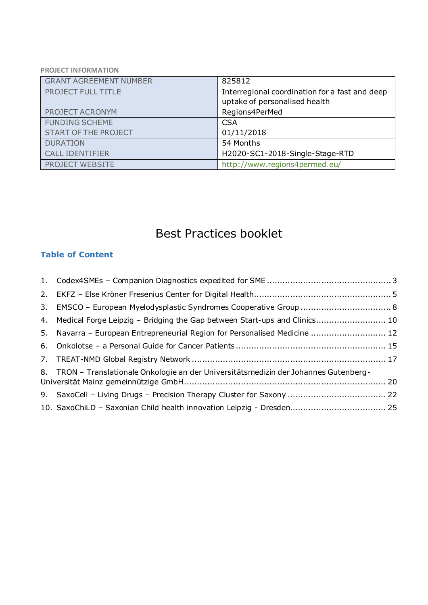#### **PROJECT INFORMATION**

| <b>GRANT AGREEMENT NUMBER</b> | 825812                                         |
|-------------------------------|------------------------------------------------|
| <b>PROJECT FULL TITLE</b>     | Interregional coordination for a fast and deep |
|                               | uptake of personalised health                  |
| PROJECT ACRONYM               | Regions4PerMed                                 |
| <b>FUNDING SCHEME</b>         | <b>CSA</b>                                     |
| <b>START OF THE PROJECT</b>   | 01/11/2018                                     |
| <b>DURATION</b>               | 54 Months                                      |
| <b>CALL IDENTIFIER</b>        | H2020-SC1-2018-Single-Stage-RTD                |
| PROJECT WEBSITE               | http://www.regions4permed.eu/                  |

## Best Practices booklet

#### **Table of Content**

| 4. Medical Forge Leipzig - Bridging the Gap between Start-ups and Clinics 10          |  |
|---------------------------------------------------------------------------------------|--|
| 5. Navarra - European Entrepreneurial Region for Personalised Medicine  12            |  |
|                                                                                       |  |
|                                                                                       |  |
| 8. TRON – Translationale Onkologie an der Universitätsmedizin der Johannes Gutenberg- |  |
|                                                                                       |  |
|                                                                                       |  |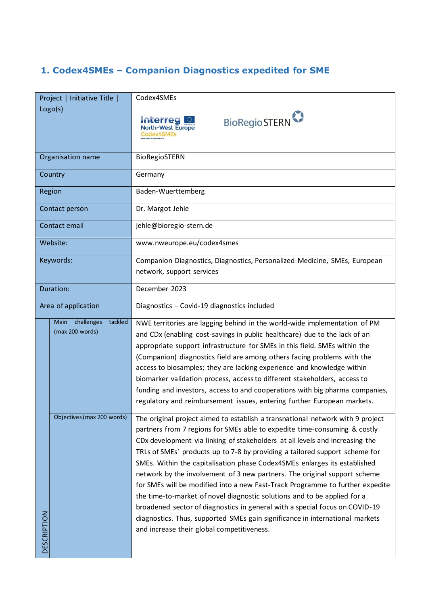### <span id="page-2-0"></span>**1. Codex4SMEs – Companion Diagnostics expedited for SME**

|                    | Project   Initiative Title    | Codex4SMEs                                                                     |
|--------------------|-------------------------------|--------------------------------------------------------------------------------|
|                    | Logo(s)                       |                                                                                |
|                    |                               | <b>BioRegio STERN</b><br><b>Interreg</b>                                       |
|                    |                               | <b>North-West Europe</b>                                                       |
|                    |                               | Codex4SMEs                                                                     |
|                    |                               |                                                                                |
|                    | Organisation name             | <b>BioRegioSTERN</b>                                                           |
|                    |                               |                                                                                |
|                    | Country                       | Germany                                                                        |
|                    |                               |                                                                                |
|                    | Region                        | Baden-Wuerttemberg                                                             |
|                    |                               |                                                                                |
|                    | Contact person                | Dr. Margot Jehle                                                               |
|                    | Contact email                 | jehle@bioregio-stern.de                                                        |
|                    |                               |                                                                                |
|                    | Website:                      | www.nweurope.eu/codex4smes                                                     |
|                    |                               |                                                                                |
|                    | Keywords:                     | Companion Diagnostics, Diagnostics, Personalized Medicine, SMEs, European      |
|                    |                               | network, support services                                                      |
|                    |                               |                                                                                |
| Duration:          |                               | December 2023                                                                  |
|                    |                               |                                                                                |
|                    | Area of application           | Diagnostics - Covid-19 diagnostics included                                    |
|                    | tackled<br>Main<br>challenges | NWE territories are lagging behind in the world-wide implementation of PM      |
|                    | (max 200 words)               |                                                                                |
|                    |                               | and CDx (enabling cost-savings in public healthcare) due to the lack of an     |
|                    |                               | appropriate support infrastructure for SMEs in this field. SMEs within the     |
|                    |                               | (Companion) diagnostics field are among others facing problems with the        |
|                    |                               | access to biosamples; they are lacking experience and knowledge within         |
|                    |                               | biomarker validation process, access to different stakeholders, access to      |
|                    |                               | funding and investors, access to and cooperations with big pharma companies,   |
|                    |                               |                                                                                |
|                    |                               | regulatory and reimbursement issues, entering further European markets.        |
|                    | Objectives (max 200 words)    | The original project aimed to establish a transnational network with 9 project |
|                    |                               |                                                                                |
|                    |                               | partners from 7 regions for SMEs able to expedite time-consuming & costly      |
|                    |                               | CDx development via linking of stakeholders at all levels and increasing the   |
|                    |                               | TRLs of SMEs' products up to 7-8 by providing a tailored support scheme for    |
|                    |                               | SMEs. Within the capitalisation phase Codex4SMEs enlarges its established      |
|                    |                               | network by the involvement of 3 new partners. The original support scheme      |
|                    |                               | for SMEs will be modified into a new Fast-Track Programme to further expedite  |
|                    |                               |                                                                                |
|                    |                               | the time-to-market of novel diagnostic solutions and to be applied for a       |
|                    |                               | broadened sector of diagnostics in general with a special focus on COVID-19    |
|                    |                               | diagnostics. Thus, supported SMEs gain significance in international markets   |
|                    |                               | and increase their global competitiveness.                                     |
| <b>DESCRIPTION</b> |                               |                                                                                |
|                    |                               |                                                                                |
|                    |                               |                                                                                |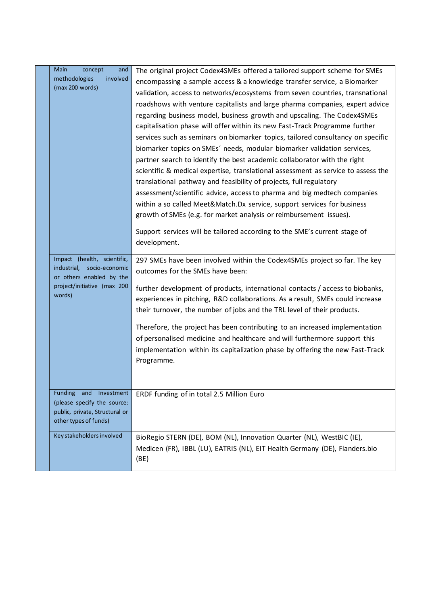| Main<br>concept<br>and                                        | The original project Codex4SMEs offered a tailored support scheme for SMEs                                                                                     |
|---------------------------------------------------------------|----------------------------------------------------------------------------------------------------------------------------------------------------------------|
| methodologies<br>involved                                     | encompassing a sample access & a knowledge transfer service, a Biomarker                                                                                       |
| (max 200 words)                                               | validation, access to networks/ecosystems from seven countries, transnational                                                                                  |
|                                                               | roadshows with venture capitalists and large pharma companies, expert advice                                                                                   |
|                                                               | regarding business model, business growth and upscaling. The Codex4SMEs                                                                                        |
|                                                               | capitalisation phase will offer within its new Fast-Track Programme further                                                                                    |
|                                                               | services such as seminars on biomarker topics, tailored consultancy on specific                                                                                |
|                                                               | biomarker topics on SMEs' needs, modular biomarker validation services,                                                                                        |
|                                                               | partner search to identify the best academic collaborator with the right                                                                                       |
|                                                               | scientific & medical expertise, translational assessment as service to assess the                                                                              |
|                                                               | translational pathway and feasibility of projects, full regulatory                                                                                             |
|                                                               | assessment/scientific advice, access to pharma and big medtech companies                                                                                       |
|                                                               | within a so called Meet&Match.Dx service, support services for business                                                                                        |
|                                                               | growth of SMEs (e.g. for market analysis or reimbursement issues).                                                                                             |
|                                                               |                                                                                                                                                                |
|                                                               | Support services will be tailored according to the SME's current stage of                                                                                      |
|                                                               | development.                                                                                                                                                   |
| Impact (health, scientific,                                   | 297 SMEs have been involved within the Codex4SMEs project so far. The key                                                                                      |
| industrial,<br>socio-economic                                 | outcomes for the SMEs have been:                                                                                                                               |
| or others enabled by the<br>project/initiative (max 200       |                                                                                                                                                                |
| words)                                                        | further development of products, international contacts / access to biobanks,<br>experiences in pitching, R&D collaborations. As a result, SMEs could increase |
|                                                               | their turnover, the number of jobs and the TRL level of their products.                                                                                        |
|                                                               |                                                                                                                                                                |
|                                                               | Therefore, the project has been contributing to an increased implementation                                                                                    |
|                                                               | of personalised medicine and healthcare and will furthermore support this                                                                                      |
|                                                               | implementation within its capitalization phase by offering the new Fast-Track                                                                                  |
|                                                               | Programme.                                                                                                                                                     |
|                                                               |                                                                                                                                                                |
|                                                               |                                                                                                                                                                |
| Funding<br>and Investment                                     | ERDF funding of in total 2.5 Million Euro                                                                                                                      |
| (please specify the source:<br>public, private, Structural or |                                                                                                                                                                |
| other types of funds)                                         |                                                                                                                                                                |
|                                                               |                                                                                                                                                                |
| Key stakeholders involved                                     | BioRegio STERN (DE), BOM (NL), Innovation Quarter (NL), WestBIC (IE),                                                                                          |
|                                                               | Medicen (FR), IBBL (LU), EATRIS (NL), EIT Health Germany (DE), Flanders.bio                                                                                    |
|                                                               | (BE)                                                                                                                                                           |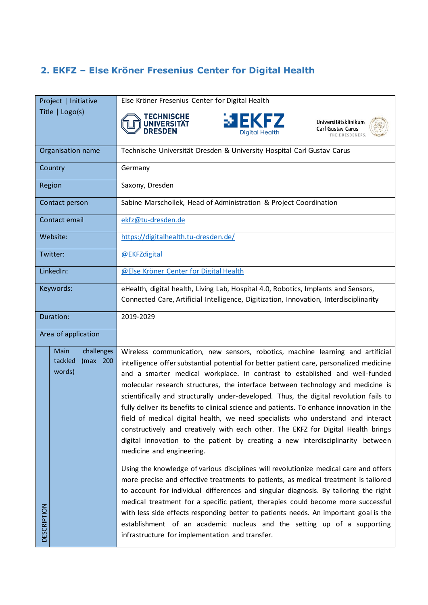## <span id="page-4-0"></span>**2. EKFZ – Else Kröner Fresenius Center for Digital Health**

|                     | Project   Initiative                                       | Else Kröner Fresenius Center for Digital Health                                                                                                                                                                                                                                                                                                                                                                                                                                                                                                                                                                                                                                                                                                                                                                             |
|---------------------|------------------------------------------------------------|-----------------------------------------------------------------------------------------------------------------------------------------------------------------------------------------------------------------------------------------------------------------------------------------------------------------------------------------------------------------------------------------------------------------------------------------------------------------------------------------------------------------------------------------------------------------------------------------------------------------------------------------------------------------------------------------------------------------------------------------------------------------------------------------------------------------------------|
|                     | Title   Logo(s)                                            | <b>TECHNISCHE</b><br><b>EXFZ</b><br>Universitätsklinikum<br>UNIVERSITÄT<br><b>Carl Gustav Carus</b><br><b>DRESDEN</b><br><b>Diaital Health</b><br>THE DRESDENERS.                                                                                                                                                                                                                                                                                                                                                                                                                                                                                                                                                                                                                                                           |
|                     | Organisation name                                          | Technische Universität Dresden & University Hospital Carl Gustav Carus                                                                                                                                                                                                                                                                                                                                                                                                                                                                                                                                                                                                                                                                                                                                                      |
|                     | Country                                                    | Germany                                                                                                                                                                                                                                                                                                                                                                                                                                                                                                                                                                                                                                                                                                                                                                                                                     |
|                     | Region                                                     | Saxony, Dresden                                                                                                                                                                                                                                                                                                                                                                                                                                                                                                                                                                                                                                                                                                                                                                                                             |
|                     | Contact person                                             | Sabine Marschollek, Head of Administration & Project Coordination                                                                                                                                                                                                                                                                                                                                                                                                                                                                                                                                                                                                                                                                                                                                                           |
|                     | Contact email                                              | ekfz@tu-dresden.de                                                                                                                                                                                                                                                                                                                                                                                                                                                                                                                                                                                                                                                                                                                                                                                                          |
|                     | Website:                                                   | https://digitalhealth.tu-dresden.de/                                                                                                                                                                                                                                                                                                                                                                                                                                                                                                                                                                                                                                                                                                                                                                                        |
| Twitter:            |                                                            | @EKFZdigital                                                                                                                                                                                                                                                                                                                                                                                                                                                                                                                                                                                                                                                                                                                                                                                                                |
| LinkedIn:           |                                                            | @Else Kröner Center for Digital Health                                                                                                                                                                                                                                                                                                                                                                                                                                                                                                                                                                                                                                                                                                                                                                                      |
| Keywords:           |                                                            | eHealth, digital health, Living Lab, Hospital 4.0, Robotics, Implants and Sensors,<br>Connected Care, Artificial Intelligence, Digitization, Innovation, Interdisciplinarity                                                                                                                                                                                                                                                                                                                                                                                                                                                                                                                                                                                                                                                |
|                     | Duration:                                                  | 2019-2029                                                                                                                                                                                                                                                                                                                                                                                                                                                                                                                                                                                                                                                                                                                                                                                                                   |
| Area of application |                                                            |                                                                                                                                                                                                                                                                                                                                                                                                                                                                                                                                                                                                                                                                                                                                                                                                                             |
|                     | challenges<br><b>Main</b><br>tackled<br>(max 200<br>words) | Wireless communication, new sensors, robotics, machine learning and artificial<br>intelligence offer substantial potential for better patient care, personalized medicine<br>and a smarter medical workplace. In contrast to established and well-funded<br>molecular research structures, the interface between technology and medicine is<br>scientifically and structurally under-developed. Thus, the digital revolution fails to<br>fully deliver its benefits to clinical science and patients. To enhance innovation in the<br>field of medical digital health, we need specialists who understand and interact<br>constructively and creatively with each other. The EKFZ for Digital Health brings<br>digital innovation to the patient by creating a new interdisciplinarity between<br>medicine and engineering. |
| <b>DESCRIPTION</b>  |                                                            | Using the knowledge of various disciplines will revolutionize medical care and offers<br>more precise and effective treatments to patients, as medical treatment is tailored<br>to account for individual differences and singular diagnosis. By tailoring the right<br>medical treatment for a specific patient, therapies could become more successful<br>with less side effects responding better to patients needs. An important goal is the<br>establishment of an academic nucleus and the setting up of a supporting<br>infrastructure for implementation and transfer.                                                                                                                                                                                                                                              |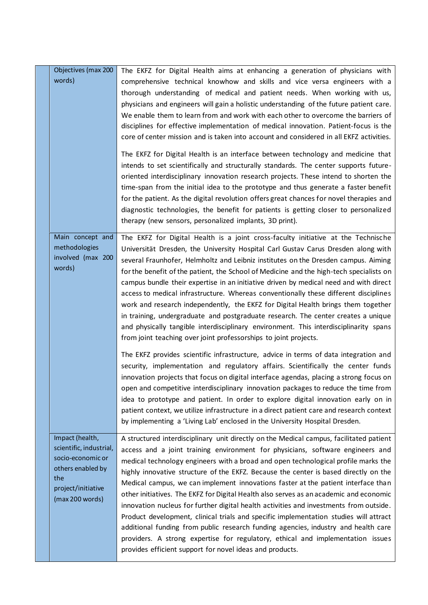| Objectives (max 200<br>words)                                                                                                        | The EKFZ for Digital Health aims at enhancing a generation of physicians with<br>comprehensive technical knowhow and skills and vice versa engineers with a<br>thorough understanding of medical and patient needs. When working with us,<br>physicians and engineers will gain a holistic understanding of the future patient care.<br>We enable them to learn from and work with each other to overcome the barriers of<br>disciplines for effective implementation of medical innovation. Patient-focus is the<br>core of center mission and is taken into account and considered in all EKFZ activities.                                                                                                                                                                                                                                                                                                                                                   |
|--------------------------------------------------------------------------------------------------------------------------------------|----------------------------------------------------------------------------------------------------------------------------------------------------------------------------------------------------------------------------------------------------------------------------------------------------------------------------------------------------------------------------------------------------------------------------------------------------------------------------------------------------------------------------------------------------------------------------------------------------------------------------------------------------------------------------------------------------------------------------------------------------------------------------------------------------------------------------------------------------------------------------------------------------------------------------------------------------------------|
|                                                                                                                                      | The EKFZ for Digital Health is an interface between technology and medicine that<br>intends to set scientifically and structurally standards. The center supports future-<br>oriented interdisciplinary innovation research projects. These intend to shorten the<br>time-span from the initial idea to the prototype and thus generate a faster benefit<br>for the patient. As the digital revolution offers great chances for novel therapies and<br>diagnostic technologies, the benefit for patients is getting closer to personalized<br>therapy (new sensors, personalized implants, 3D print).                                                                                                                                                                                                                                                                                                                                                          |
| Main concept and<br>methodologies<br>involved (max 200<br>words)                                                                     | The EKFZ for Digital Health is a joint cross-faculty initiative at the Technische<br>Universität Dresden, the University Hospital Carl Gustav Carus Dresden along with<br>several Fraunhofer, Helmholtz and Leibniz institutes on the Dresden campus. Aiming<br>for the benefit of the patient, the School of Medicine and the high-tech specialists on<br>campus bundle their expertise in an initiative driven by medical need and with direct<br>access to medical infrastructure. Whereas conventionally these different disciplines<br>work and research independently, the EKFZ for Digital Health brings them together<br>in training, undergraduate and postgraduate research. The center creates a unique<br>and physically tangible interdisciplinary environment. This interdisciplinarity spans<br>from joint teaching over joint professorships to joint projects.                                                                                |
|                                                                                                                                      | The EKFZ provides scientific infrastructure, advice in terms of data integration and<br>security, implementation and regulatory affairs. Scientifically the center funds<br>innovation projects that focus on digital interface agendas, placing a strong focus on<br>open and competitive interdisciplinary innovation packages to reduce the time from<br>idea to prototype and patient. In order to explore digital innovation early on in<br>patient context, we utilize infrastructure in a direct patient care and research context<br>by implementing a 'Living Lab' enclosed in the University Hospital Dresden.                                                                                                                                                                                                                                                                                                                                       |
| Impact (health,<br>scientific, industrial,<br>socio-economic or<br>others enabled by<br>the<br>project/initiative<br>(max 200 words) | A structured interdisciplinary unit directly on the Medical campus, facilitated patient<br>access and a joint training environment for physicians, software engineers and<br>medical technology engineers with a broad and open technological profile marks the<br>highly innovative structure of the EKFZ. Because the center is based directly on the<br>Medical campus, we can implement innovations faster at the patient interface than<br>other initiatives. The EKFZ for Digital Health also serves as an academic and economic<br>innovation nucleus for further digital health activities and investments from outside.<br>Product development, clinical trials and specific implementation studies will attract<br>additional funding from public research funding agencies, industry and health care<br>providers. A strong expertise for regulatory, ethical and implementation issues<br>provides efficient support for novel ideas and products. |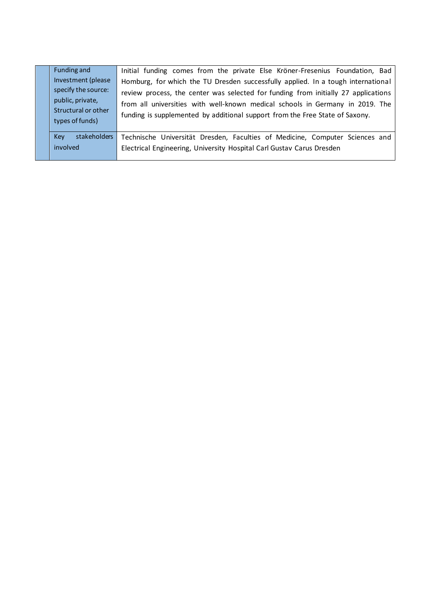| Funding and<br>Investment (please<br>specify the source:<br>public, private,<br>Structural or other<br>types of funds) | Initial funding comes from the private Else Kröner-Fresenius Foundation, Bad<br>Homburg, for which the TU Dresden successfully applied. In a tough international<br>review process, the center was selected for funding from initially 27 applications<br>from all universities with well-known medical schools in Germany in 2019. The<br>funding is supplemented by additional support from the Free State of Saxony. |
|------------------------------------------------------------------------------------------------------------------------|-------------------------------------------------------------------------------------------------------------------------------------------------------------------------------------------------------------------------------------------------------------------------------------------------------------------------------------------------------------------------------------------------------------------------|
| stakeholders<br><b>Key</b><br>involved                                                                                 | Technische Universität Dresden, Faculties of Medicine, Computer Sciences and<br>Electrical Engineering, University Hospital Carl Gustav Carus Dresden                                                                                                                                                                                                                                                                   |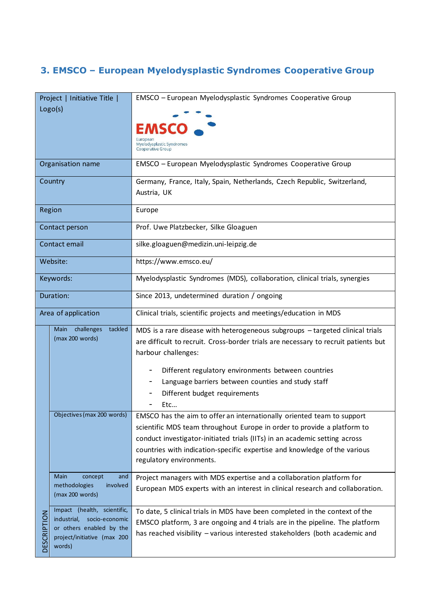### <span id="page-7-0"></span>**3. EMSCO – European Myelodysplastic Syndromes Cooperative Group**

|             | Project   Initiative Title                                | EMSCO - European Myelodysplastic Syndromes Cooperative Group                                                                                      |
|-------------|-----------------------------------------------------------|---------------------------------------------------------------------------------------------------------------------------------------------------|
| Logo(s)     |                                                           |                                                                                                                                                   |
|             |                                                           | EMSCO -                                                                                                                                           |
|             |                                                           | European                                                                                                                                          |
|             |                                                           | Myelodysplastic Syndromes<br>Cooperative Group                                                                                                    |
|             | Organisation name                                         | EMSCO - European Myelodysplastic Syndromes Cooperative Group                                                                                      |
|             | Country                                                   | Germany, France, Italy, Spain, Netherlands, Czech Republic, Switzerland,                                                                          |
|             |                                                           | Austria, UK                                                                                                                                       |
|             | Region                                                    | Europe                                                                                                                                            |
|             | Contact person                                            | Prof. Uwe Platzbecker, Silke Gloaguen                                                                                                             |
|             | Contact email                                             | silke.gloaguen@medizin.uni-leipzig.de                                                                                                             |
| Website:    |                                                           | https://www.emsco.eu/                                                                                                                             |
|             | Keywords:                                                 | Myelodysplastic Syndromes (MDS), collaboration, clinical trials, synergies                                                                        |
| Duration:   |                                                           | Since 2013, undetermined duration / ongoing                                                                                                       |
|             | Area of application                                       | Clinical trials, scientific projects and meetings/education in MDS                                                                                |
|             | Main challenges<br>tackled                                | MDS is a rare disease with heterogeneous subgroups - targeted clinical trials                                                                     |
|             | (max 200 words)                                           | are difficult to recruit. Cross-border trials are necessary to recruit patients but                                                               |
|             |                                                           | harbour challenges:                                                                                                                               |
|             |                                                           | Different regulatory environments between countries<br>-                                                                                          |
|             |                                                           | Language barriers between counties and study staff                                                                                                |
|             |                                                           | Different budget requirements                                                                                                                     |
|             | Objectives (max 200 words)                                | Etc                                                                                                                                               |
|             |                                                           | EMSCO has the aim to offer an internationally oriented team to support<br>scientific MDS team throughout Europe in order to provide a platform to |
|             |                                                           | conduct investigator-initiated trials (IITs) in an academic setting across                                                                        |
|             |                                                           | countries with indication-specific expertise and knowledge of the various                                                                         |
|             |                                                           | regulatory environments.                                                                                                                          |
|             | Main<br>concept<br>and                                    | Project managers with MDS expertise and a collaboration platform for                                                                              |
|             | methodologies<br>involved<br>(max 200 words)              | European MDS experts with an interest in clinical research and collaboration.                                                                     |
|             | Impact (health, scientific,                               | To date, 5 clinical trials in MDS have been completed in the context of the                                                                       |
|             | industrial,<br>socio-economic<br>or others enabled by the | EMSCO platform, 3 are ongoing and 4 trials are in the pipeline. The platform                                                                      |
| DESCRIPTION | project/initiative (max 200<br>words)                     | has reached visibility - various interested stakeholders (both academic and                                                                       |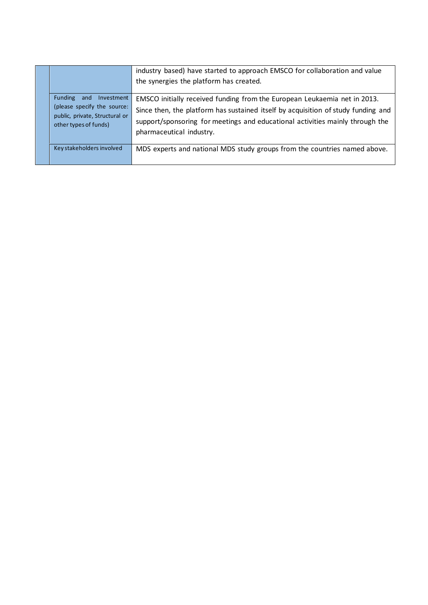|                                                                                                                     | industry based) have started to approach EMSCO for collaboration and value<br>the synergies the platform has created.                                                                                                                                                       |
|---------------------------------------------------------------------------------------------------------------------|-----------------------------------------------------------------------------------------------------------------------------------------------------------------------------------------------------------------------------------------------------------------------------|
| Funding and<br>Investment<br>(please specify the source:<br>public, private, Structural or<br>other types of funds) | EMSCO initially received funding from the European Leukaemia net in 2013.<br>Since then, the platform has sustained itself by acquisition of study funding and<br>support/sponsoring for meetings and educational activities mainly through the<br>pharmaceutical industry. |
| Key stakeholders involved                                                                                           | MDS experts and national MDS study groups from the countries named above.                                                                                                                                                                                                   |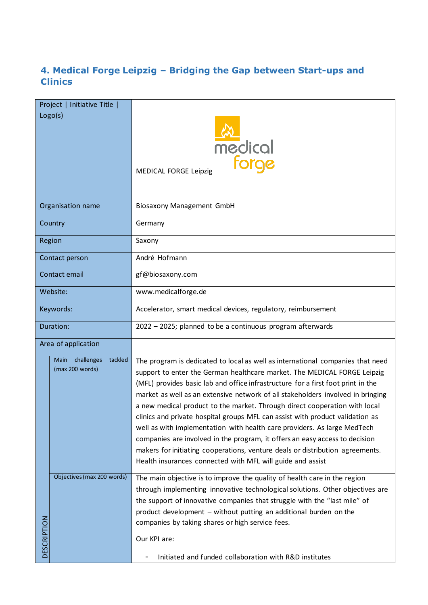### <span id="page-9-0"></span>**4. Medical Forge Leipzig – Bridging the Gap between Start-ups and Clinics**

|                     | Project   Initiative Title    |                                                                                                                                                            |
|---------------------|-------------------------------|------------------------------------------------------------------------------------------------------------------------------------------------------------|
|                     | Logo(s)                       |                                                                                                                                                            |
|                     |                               |                                                                                                                                                            |
|                     |                               |                                                                                                                                                            |
|                     |                               | medical<br>forge                                                                                                                                           |
|                     |                               |                                                                                                                                                            |
|                     |                               | MEDICAL FORGE Leipzig                                                                                                                                      |
|                     |                               |                                                                                                                                                            |
|                     |                               |                                                                                                                                                            |
|                     | Organisation name             | Biosaxony Management GmbH                                                                                                                                  |
|                     | Country                       | Germany                                                                                                                                                    |
|                     | Region                        | Saxony                                                                                                                                                     |
|                     | Contact person                | André Hofmann                                                                                                                                              |
| Contact email       |                               | gf@biosaxony.com                                                                                                                                           |
| Website:            |                               | www.medicalforge.de                                                                                                                                        |
| Keywords:           |                               | Accelerator, smart medical devices, regulatory, reimbursement                                                                                              |
| Duration:           |                               | 2022 - 2025; planned to be a continuous program afterwards                                                                                                 |
| Area of application |                               |                                                                                                                                                            |
|                     | tackled<br>challenges<br>Main | The program is dedicated to local as well as international companies that need                                                                             |
|                     | (max 200 words)               | support to enter the German healthcare market. The MEDICAL FORGE Leipzig                                                                                   |
|                     |                               | (MFL) provides basic lab and office infrastructure for a first foot print in the                                                                           |
|                     |                               | market as well as an extensive network of all stakeholders involved in bringing                                                                            |
|                     |                               | a new medical product to the market. Through direct cooperation with local                                                                                 |
|                     |                               | clinics and private hospital groups MFL can assist with product validation as                                                                              |
|                     |                               | well as with implementation with health care providers. As large MedTech<br>companies are involved in the program, it offers an easy access to decision    |
|                     |                               | makers for initiating cooperations, venture deals or distribution agreements.                                                                              |
|                     |                               | Health insurances connected with MFL will guide and assist                                                                                                 |
|                     | Objectives (max 200 words)    |                                                                                                                                                            |
|                     |                               | The main objective is to improve the quality of health care in the region<br>through implementing innovative technological solutions. Other objectives are |
|                     |                               | the support of innovative companies that struggle with the "last mile" of                                                                                  |
|                     |                               | product development - without putting an additional burden on the                                                                                          |
|                     |                               | companies by taking shares or high service fees.                                                                                                           |
| DESCRIPTION         |                               | Our KPI are:                                                                                                                                               |
|                     |                               | Initiated and funded collaboration with R&D institutes                                                                                                     |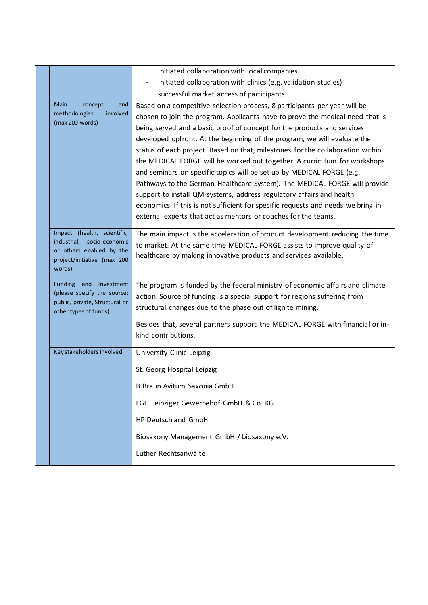|                                                           | Initiated collaboration with local companies                                                          |
|-----------------------------------------------------------|-------------------------------------------------------------------------------------------------------|
|                                                           | Initiated collaboration with clinics (e.g. validation studies)<br>-                                   |
|                                                           | successful market access of participants<br>-                                                         |
| Main<br>concept<br>and                                    | Based on a competitive selection process, 8 participants per year will be                             |
| methodologies<br>involved<br>(max 200 words)              | chosen to join the program. Applicants have to prove the medical need that is                         |
|                                                           | being served and a basic proof of concept for the products and services                               |
|                                                           | developed upfront. At the beginning of the program, we will evaluate the                              |
|                                                           | status of each project. Based on that, milestones for the collaboration within                        |
|                                                           | the MEDICAL FORGE will be worked out together. A curriculum for workshops                             |
|                                                           | and seminars on specific topics will be set up by MEDICAL FORGE (e.g.                                 |
|                                                           | Pathways to the German Healthcare System). The MEDICAL FORGE will provide                             |
|                                                           | support to install QM-systems, address regulatory affairs and health                                  |
|                                                           | economics. If this is not sufficient for specific requests and needs we bring in                      |
|                                                           | external experts that act as mentors or coaches for the teams.                                        |
| Impact (health, scientific,                               | The main impact is the acceleration of product development reducing the time                          |
| industrial,<br>socio-economic<br>or others enabled by the | to market. At the same time MEDICAL FORGE assists to improve quality of                               |
| project/initiative (max 200                               | healthcare by making innovative products and services available.                                      |
| words)                                                    |                                                                                                       |
| Funding and Investment                                    | The program is funded by the federal ministry of economic affairs and climate                         |
| (please specify the source:                               | action. Source of funding is a special support for regions suffering from                             |
| public, private, Structural or                            | structural changes due to the phase out of lignite mining.                                            |
| other types of funds)                                     |                                                                                                       |
|                                                           | Besides that, several partners support the MEDICAL FORGE with financial or in-<br>kind contributions. |
|                                                           |                                                                                                       |
| Key stakeholders involved                                 | University Clinic Leipzig                                                                             |
|                                                           | St. Georg Hospital Leipzig                                                                            |
|                                                           |                                                                                                       |
|                                                           | B. Braun Avitum Saxonia GmbH                                                                          |
|                                                           | LGH Leipziger Gewerbehof GmbH & Co. KG                                                                |
|                                                           | HP Deutschland GmbH                                                                                   |
|                                                           | Biosaxony Management GmbH / biosaxony e.V.                                                            |
|                                                           | Luther Rechtsanwälte                                                                                  |
|                                                           |                                                                                                       |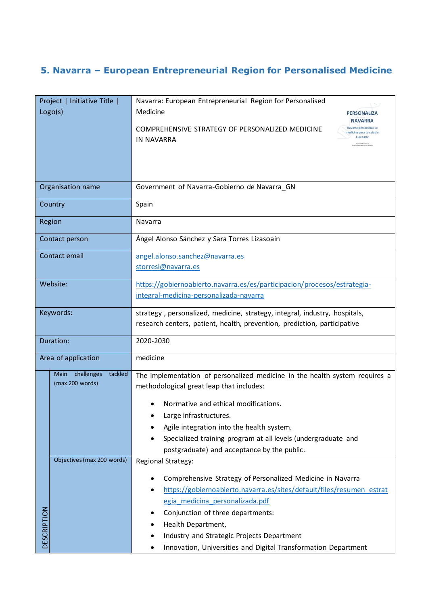### <span id="page-11-0"></span>**5. Navarra – European Entrepreneurial Region for Personalised Medicine**

|                     | Project   Initiative Title  <br>Logo(s) | Navarra: European Entrepreneurial Region for Personalised<br>Medicine<br><b>PERSONALIZA</b>                                          |  |
|---------------------|-----------------------------------------|--------------------------------------------------------------------------------------------------------------------------------------|--|
|                     |                                         | <b>NAVARRA</b><br>Navarra personaliza su<br>COMPREHENSIVE STRATEGY OF PERSONALIZED MEDICINE<br>medicina para tu salud y<br>bienestar |  |
|                     |                                         | <b>IN NAVARRA</b>                                                                                                                    |  |
|                     |                                         |                                                                                                                                      |  |
|                     |                                         |                                                                                                                                      |  |
|                     | Organisation name                       | Government of Navarra-Gobierno de Navarra_GN                                                                                         |  |
|                     | Country                                 | Spain                                                                                                                                |  |
|                     | Region                                  | Navarra                                                                                                                              |  |
|                     | Contact person                          | Ángel Alonso Sánchez y Sara Torres Lizasoain                                                                                         |  |
| Contact email       |                                         | angel.alonso.sanchez@navarra.es                                                                                                      |  |
|                     |                                         | storresl@navarra.es                                                                                                                  |  |
| Website:            |                                         | https://gobiernoabierto.navarra.es/es/participacion/procesos/estrategia-                                                             |  |
|                     |                                         | integral-medicina-personalizada-navarra                                                                                              |  |
| Keywords:           |                                         | strategy, personalized, medicine, strategy, integral, industry, hospitals,                                                           |  |
|                     |                                         | research centers, patient, health, prevention, prediction, participative                                                             |  |
| Duration:           |                                         | 2020-2030                                                                                                                            |  |
| Area of application |                                         | medicine                                                                                                                             |  |
|                     | challenges<br>tackled<br>Main           | The implementation of personalized medicine in the health system requires a                                                          |  |
|                     | (max 200 words)                         | methodological great leap that includes:                                                                                             |  |
|                     |                                         | Normative and ethical modifications.                                                                                                 |  |
|                     |                                         | Large infrastructures.                                                                                                               |  |
|                     |                                         | Agile integration into the health system.                                                                                            |  |
|                     |                                         | Specialized training program at all levels (undergraduate and                                                                        |  |
|                     | Objectives (max 200 words)              | postgraduate) and acceptance by the public.<br>Regional Strategy:                                                                    |  |
|                     |                                         |                                                                                                                                      |  |
|                     |                                         | Comprehensive Strategy of Personalized Medicine in Navarra                                                                           |  |
|                     |                                         | https://gobiernoabierto.navarra.es/sites/default/files/resumen_estrat                                                                |  |
|                     |                                         | egia medicina personalizada.pdf                                                                                                      |  |
|                     |                                         | Conjunction of three departments:                                                                                                    |  |
| <b>DESCRIPTION</b>  |                                         | Health Department,<br>Industry and Strategic Projects Department                                                                     |  |
|                     |                                         | Innovation, Universities and Digital Transformation Department                                                                       |  |
|                     |                                         |                                                                                                                                      |  |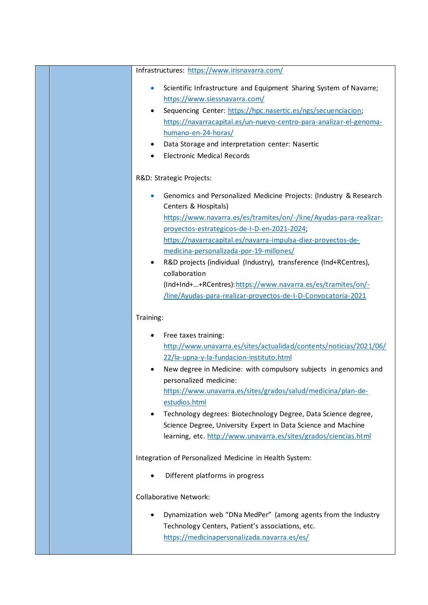|                                                        | Infrastructures: https://www.irisnavarra.com/                                             |  |
|--------------------------------------------------------|-------------------------------------------------------------------------------------------|--|
|                                                        | Scientific Infrastructure and Equipment Sharing System of Navarre;                        |  |
|                                                        | https://www.siessnavarra.com/                                                             |  |
|                                                        | Sequencing Center: https://hpc.nasertic.es/ngs/secuenciacion;                             |  |
|                                                        | https://navarracapital.es/un-nuevo-centro-para-analizar-el-genoma-                        |  |
|                                                        | humano-en-24-horas/                                                                       |  |
|                                                        | Data Storage and interpretation center: Nasertic                                          |  |
|                                                        | <b>Electronic Medical Records</b>                                                         |  |
|                                                        | R&D: Strategic Projects:                                                                  |  |
|                                                        | Genomics and Personalized Medicine Projects: (Industry & Research<br>Centers & Hospitals) |  |
|                                                        | https://www.navarra.es/es/tramites/on/-/line/Ayudas-para-realizar-                        |  |
|                                                        | proyectos-estrategicos-de-I-D-en-2021-2024;                                               |  |
|                                                        | https://navarracapital.es/navarra-impulsa-diez-proyectos-de-                              |  |
|                                                        | medicina-personalizada-por-19-millones/                                                   |  |
|                                                        | R&D projects (individual (Industry), transference (Ind+RCentres),                         |  |
|                                                        | collaboration                                                                             |  |
|                                                        | (Ind+Ind++RCentres): https://www.navarra.es/es/tramites/on/-                              |  |
|                                                        | /line/Ayudas-para-realizar-proyectos-de-I-D-Convocatoria-2021                             |  |
| Training:                                              |                                                                                           |  |
|                                                        | Free taxes training:                                                                      |  |
|                                                        | http://www.unavarra.es/sites/actualidad/contents/noticias/2021/06/                        |  |
|                                                        | 22/la-upna-y-la-fundacion-instituto.html                                                  |  |
|                                                        | New degree in Medicine: with compulsory subjects in genomics and                          |  |
|                                                        | personalized medicine:                                                                    |  |
|                                                        | https://www.unavarra.es/sites/grados/salud/medicina/plan-de-                              |  |
|                                                        | estudios.html                                                                             |  |
|                                                        | Technology degrees: Biotechnology Degree, Data Science degree,                            |  |
|                                                        | Science Degree, University Expert in Data Science and Machine                             |  |
|                                                        | learning, etc. http://www.unavarra.es/sites/grados/ciencias.html                          |  |
| Integration of Personalized Medicine in Health System: |                                                                                           |  |
|                                                        | Different platforms in progress                                                           |  |
|                                                        | <b>Collaborative Network:</b>                                                             |  |
|                                                        | Dynamization web "DNa MedPer" (among agents from the Industry                             |  |
|                                                        | Technology Centers, Patient's associations, etc.                                          |  |
|                                                        | https://medicinapersonalizada.navarra.es/es/                                              |  |
|                                                        |                                                                                           |  |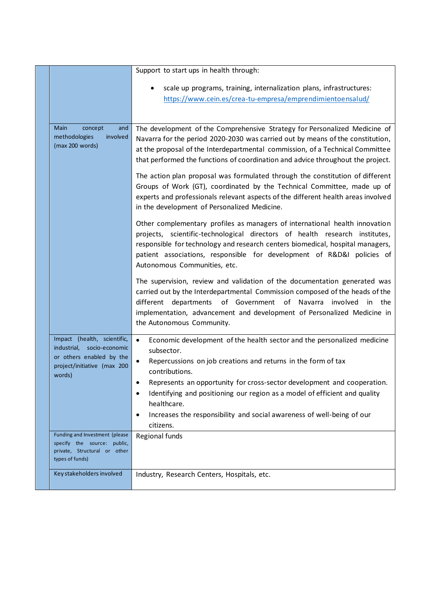|                                                                                                                                   | Support to start ups in health through:                                                                                                                                                                                                                                                                                                                |
|-----------------------------------------------------------------------------------------------------------------------------------|--------------------------------------------------------------------------------------------------------------------------------------------------------------------------------------------------------------------------------------------------------------------------------------------------------------------------------------------------------|
|                                                                                                                                   | scale up programs, training, internalization plans, infrastructures:<br>https://www.cein.es/crea-tu-empresa/emprendimientoensalud/                                                                                                                                                                                                                     |
| Main<br>concept<br>and<br>involved<br>methodologies<br>(max 200 words)                                                            | The development of the Comprehensive Strategy for Personalized Medicine of<br>Navarra for the period 2020-2030 was carried out by means of the constitution,<br>at the proposal of the Interdepartmental commission, of a Technical Committee<br>that performed the functions of coordination and advice throughout the project.                       |
|                                                                                                                                   | The action plan proposal was formulated through the constitution of different<br>Groups of Work (GT), coordinated by the Technical Committee, made up of<br>experts and professionals relevant aspects of the different health areas involved<br>in the development of Personalized Medicine.                                                          |
|                                                                                                                                   | Other complementary profiles as managers of international health innovation<br>projects, scientific-technological directors of health research institutes,<br>responsible for technology and research centers biomedical, hospital managers,<br>patient associations, responsible for development of R&D&I policies of<br>Autonomous Communities, etc. |
|                                                                                                                                   | The supervision, review and validation of the documentation generated was<br>carried out by the Interdepartmental Commission composed of the heads of the<br>different departments of Government of Navarra involved<br>in the<br>implementation, advancement and development of Personalized Medicine in<br>the Autonomous Community.                 |
| Impact (health, scientific,<br>industrial,<br>socio-economic<br>or others enabled by the<br>project/initiative (max 200<br>words) | Economic development of the health sector and the personalized medicine<br>$\bullet$<br>subsector.<br>Repercussions on job creations and returns in the form of tax<br>$\bullet$<br>contributions.                                                                                                                                                     |
|                                                                                                                                   | Represents an opportunity for cross-sector development and cooperation.<br>Identifying and positioning our region as a model of efficient and quality<br>٠<br>healthcare.<br>Increases the responsibility and social awareness of well-being of our<br>٠<br>citizens.                                                                                  |
| Funding and Investment (please<br>specify the source: public,<br>private, Structural or other<br>types of funds)                  | Regional funds                                                                                                                                                                                                                                                                                                                                         |
| Key stakeholders involved                                                                                                         | Industry, Research Centers, Hospitals, etc.                                                                                                                                                                                                                                                                                                            |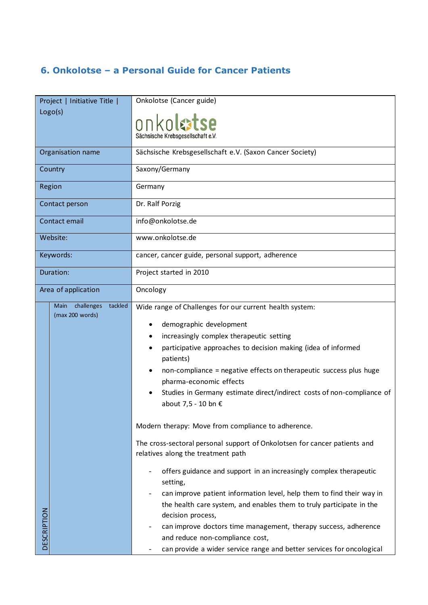#### <span id="page-14-0"></span>**6. Onkolotse – a Personal Guide for Cancer Patients**

| Project   Initiative Title |                                                  | Onkolotse (Cancer guide)                                                                                                                                                                                                                                                                                                                                                                                                                                                                                                                                   |
|----------------------------|--------------------------------------------------|------------------------------------------------------------------------------------------------------------------------------------------------------------------------------------------------------------------------------------------------------------------------------------------------------------------------------------------------------------------------------------------------------------------------------------------------------------------------------------------------------------------------------------------------------------|
| Logo(s)                    |                                                  | onkolatse<br>Sächsische Krebsgesellschaft e.V.                                                                                                                                                                                                                                                                                                                                                                                                                                                                                                             |
|                            | Organisation name                                | Sächsische Krebsgesellschaft e.V. (Saxon Cancer Society)                                                                                                                                                                                                                                                                                                                                                                                                                                                                                                   |
|                            | Country                                          | Saxony/Germany                                                                                                                                                                                                                                                                                                                                                                                                                                                                                                                                             |
|                            | Region                                           | Germany                                                                                                                                                                                                                                                                                                                                                                                                                                                                                                                                                    |
|                            | Contact person                                   | Dr. Ralf Porzig                                                                                                                                                                                                                                                                                                                                                                                                                                                                                                                                            |
|                            | Contact email                                    | info@onkolotse.de                                                                                                                                                                                                                                                                                                                                                                                                                                                                                                                                          |
|                            | Website:                                         | www.onkolotse.de                                                                                                                                                                                                                                                                                                                                                                                                                                                                                                                                           |
|                            | Keywords:                                        | cancer, cancer guide, personal support, adherence                                                                                                                                                                                                                                                                                                                                                                                                                                                                                                          |
|                            | Duration:                                        | Project started in 2010                                                                                                                                                                                                                                                                                                                                                                                                                                                                                                                                    |
|                            | Area of application                              | Oncology                                                                                                                                                                                                                                                                                                                                                                                                                                                                                                                                                   |
|                            | challenges<br>tackled<br>Main<br>(max 200 words) | Wide range of Challenges for our current health system:<br>demographic development<br>increasingly complex therapeutic setting<br>participative approaches to decision making (idea of informed<br>patients)<br>non-compliance = negative effects on therapeutic success plus huge<br>pharma-economic effects<br>Studies in Germany estimate direct/indirect costs of non-compliance of                                                                                                                                                                    |
| DESCRIPTION                |                                                  | about 7,5 - 10 bn €<br>Modern therapy: Move from compliance to adherence.<br>The cross-sectoral personal support of Onkolotsen for cancer patients and<br>relatives along the treatment path<br>offers guidance and support in an increasingly complex therapeutic<br>setting,<br>can improve patient information level, help them to find their way in<br>the health care system, and enables them to truly participate in the<br>decision process,<br>can improve doctors time management, therapy success, adherence<br>and reduce non-compliance cost, |
|                            |                                                  | can provide a wider service range and better services for oncological                                                                                                                                                                                                                                                                                                                                                                                                                                                                                      |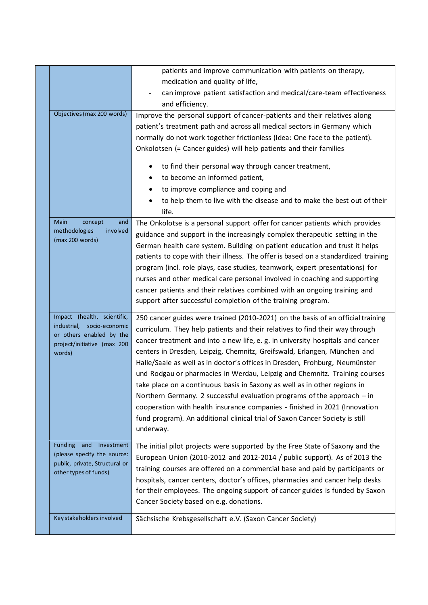|  |                                                       | patients and improve communication with patients on therapy,                       |
|--|-------------------------------------------------------|------------------------------------------------------------------------------------|
|  |                                                       | medication and quality of life,                                                    |
|  |                                                       | can improve patient satisfaction and medical/care-team effectiveness               |
|  |                                                       | and efficiency.                                                                    |
|  | Objectives (max 200 words)                            | Improve the personal support of cancer-patients and their relatives along          |
|  |                                                       | patient's treatment path and across all medical sectors in Germany which           |
|  |                                                       | normally do not work together frictionless (Idea: One face to the patient).        |
|  |                                                       | Onkolotsen (= Cancer guides) will help patients and their families                 |
|  |                                                       | to find their personal way through cancer treatment,<br>$\bullet$                  |
|  |                                                       | to become an informed patient,                                                     |
|  |                                                       | to improve compliance and coping and                                               |
|  |                                                       | to help them to live with the disease and to make the best out of their            |
|  |                                                       | life.                                                                              |
|  | Main<br>concept<br>and                                | The Onkolotse is a personal support offer for cancer patients which provides       |
|  | methodologies<br>involved<br>(max 200 words)          | guidance and support in the increasingly complex therapeutic setting in the        |
|  |                                                       | German health care system. Building on patient education and trust it helps        |
|  |                                                       | patients to cope with their illness. The offer is based on a standardized training |
|  |                                                       | program (incl. role plays, case studies, teamwork, expert presentations) for       |
|  |                                                       | nurses and other medical care personal involved in coaching and supporting         |
|  |                                                       | cancer patients and their relatives combined with an ongoing training and          |
|  |                                                       | support after successful completion of the training program.                       |
|  | Impact (health, scientific,                           | 250 cancer guides were trained (2010-2021) on the basis of an official training    |
|  | industrial, socio-economic                            | curriculum. They help patients and their relatives to find their way through       |
|  | or others enabled by the                              | cancer treatment and into a new life, e. g. in university hospitals and cancer     |
|  | project/initiative (max 200<br>words)                 | centers in Dresden, Leipzig, Chemnitz, Greifswald, Erlangen, München and           |
|  |                                                       | Halle/Saale as well as in doctor's offices in Dresden, Frohburg, Neumünster        |
|  |                                                       | und Rodgau or pharmacies in Werdau, Leipzig and Chemnitz. Training courses         |
|  |                                                       | take place on a continuous basis in Saxony as well as in other regions in          |
|  |                                                       | Northern Germany. 2 successful evaluation programs of the approach $-$ in          |
|  |                                                       | cooperation with health insurance companies - finished in 2021 (Innovation         |
|  |                                                       | fund program). An additional clinical trial of Saxon Cancer Society is still       |
|  |                                                       | underway.                                                                          |
|  |                                                       |                                                                                    |
|  | Funding and Investment<br>(please specify the source: | The initial pilot projects were supported by the Free State of Saxony and the      |
|  | public, private, Structural or                        | European Union (2010-2012 and 2012-2014 / public support). As of 2013 the          |
|  | other types of funds)                                 | training courses are offered on a commercial base and paid by participants or      |
|  |                                                       | hospitals, cancer centers, doctor's offices, pharmacies and cancer help desks      |
|  |                                                       | for their employees. The ongoing support of cancer guides is funded by Saxon       |
|  |                                                       | Cancer Society based on e.g. donations.                                            |
|  | Key stakeholders involved                             | Sächsische Krebsgesellschaft e.V. (Saxon Cancer Society)                           |
|  |                                                       |                                                                                    |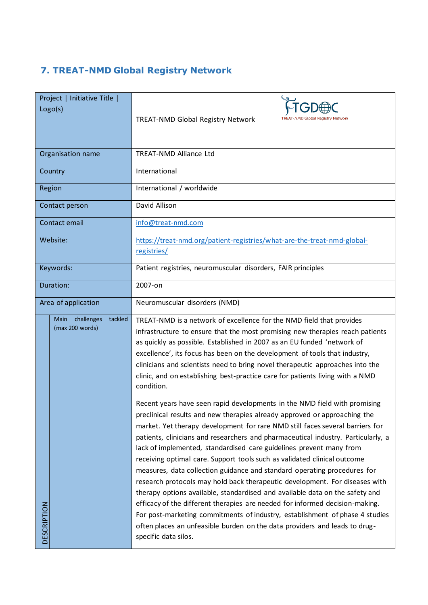### <span id="page-16-0"></span>**7. TREAT-NMD Global Registry Network**

| Project   Initiative Title  <br>Logo(s)          | TREAT-NMD Global Registry Network<br>TREAT-NMD Global Registry Network                                                                                                                                                                                                                                                                                                                                                                                                                                                                                                                                                                                                                                                                                                                                                                                                                                                                                                                           |
|--------------------------------------------------|--------------------------------------------------------------------------------------------------------------------------------------------------------------------------------------------------------------------------------------------------------------------------------------------------------------------------------------------------------------------------------------------------------------------------------------------------------------------------------------------------------------------------------------------------------------------------------------------------------------------------------------------------------------------------------------------------------------------------------------------------------------------------------------------------------------------------------------------------------------------------------------------------------------------------------------------------------------------------------------------------|
| Organisation name                                | <b>TREAT-NMD Alliance Ltd</b>                                                                                                                                                                                                                                                                                                                                                                                                                                                                                                                                                                                                                                                                                                                                                                                                                                                                                                                                                                    |
| Country                                          | International                                                                                                                                                                                                                                                                                                                                                                                                                                                                                                                                                                                                                                                                                                                                                                                                                                                                                                                                                                                    |
| Region                                           | International / worldwide                                                                                                                                                                                                                                                                                                                                                                                                                                                                                                                                                                                                                                                                                                                                                                                                                                                                                                                                                                        |
| Contact person                                   | David Allison                                                                                                                                                                                                                                                                                                                                                                                                                                                                                                                                                                                                                                                                                                                                                                                                                                                                                                                                                                                    |
| Contact email                                    | info@treat-nmd.com                                                                                                                                                                                                                                                                                                                                                                                                                                                                                                                                                                                                                                                                                                                                                                                                                                                                                                                                                                               |
| Website:                                         | https://treat-nmd.org/patient-registries/what-are-the-treat-nmd-global-<br>registries/                                                                                                                                                                                                                                                                                                                                                                                                                                                                                                                                                                                                                                                                                                                                                                                                                                                                                                           |
| Keywords:                                        | Patient registries, neuromuscular disorders, FAIR principles                                                                                                                                                                                                                                                                                                                                                                                                                                                                                                                                                                                                                                                                                                                                                                                                                                                                                                                                     |
| Duration:                                        | 2007-on                                                                                                                                                                                                                                                                                                                                                                                                                                                                                                                                                                                                                                                                                                                                                                                                                                                                                                                                                                                          |
| Area of application                              | Neuromuscular disorders (NMD)                                                                                                                                                                                                                                                                                                                                                                                                                                                                                                                                                                                                                                                                                                                                                                                                                                                                                                                                                                    |
| challenges<br>tackled<br>Main<br>(max 200 words) | TREAT-NMD is a network of excellence for the NMD field that provides<br>infrastructure to ensure that the most promising new therapies reach patients<br>as quickly as possible. Established in 2007 as an EU funded 'network of<br>excellence', its focus has been on the development of tools that industry,<br>clinicians and scientists need to bring novel therapeutic approaches into the<br>clinic, and on establishing best-practice care for patients living with a NMD<br>condition.                                                                                                                                                                                                                                                                                                                                                                                                                                                                                                   |
| <b>DESCRIPTION</b>                               | Recent years have seen rapid developments in the NMD field with promising<br>preclinical results and new therapies already approved or approaching the<br>market. Yet therapy development for rare NMD still faces several barriers for<br>patients, clinicians and researchers and pharmaceutical industry. Particularly, a<br>lack of implemented, standardised care guidelines prevent many from<br>receiving optimal care. Support tools such as validated clinical outcome<br>measures, data collection guidance and standard operating procedures for<br>research protocols may hold back therapeutic development. For diseases with<br>therapy options available, standardised and available data on the safety and<br>efficacy of the different therapies are needed for informed decision-making.<br>For post-marketing commitments of industry, establishment of phase 4 studies<br>often places an unfeasible burden on the data providers and leads to drug-<br>specific data silos. |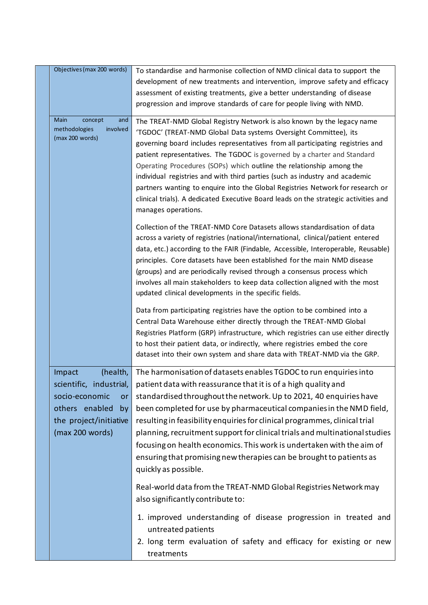| Objectives (max 200 words)                                                                                                                        | To standardise and harmonise collection of NMD clinical data to support the<br>development of new treatments and intervention, improve safety and efficacy<br>assessment of existing treatments, give a better understanding of disease<br>progression and improve standards of care for people living with NMD.                                                                                                                                                                                                                                                                                                                                                |
|---------------------------------------------------------------------------------------------------------------------------------------------------|-----------------------------------------------------------------------------------------------------------------------------------------------------------------------------------------------------------------------------------------------------------------------------------------------------------------------------------------------------------------------------------------------------------------------------------------------------------------------------------------------------------------------------------------------------------------------------------------------------------------------------------------------------------------|
| Main<br>concept<br>and<br>methodologies<br>involved<br>(max 200 words)                                                                            | The TREAT-NMD Global Registry Network is also known by the legacy name<br>'TGDOC' (TREAT-NMD Global Data systems Oversight Committee), its<br>governing board includes representatives from all participating registries and<br>patient representatives. The TGDOC is governed by a charter and Standard<br>Operating Procedures (SOPs) which outline the relationship among the<br>individual registries and with third parties (such as industry and academic<br>partners wanting to enquire into the Global Registries Network for research or<br>clinical trials). A dedicated Executive Board leads on the strategic activities and<br>manages operations. |
|                                                                                                                                                   | Collection of the TREAT-NMD Core Datasets allows standardisation of data<br>across a variety of registries (national/international, clinical/patient entered<br>data, etc.) according to the FAIR (Findable, Accessible, Interoperable, Reusable)<br>principles. Core datasets have been established for the main NMD disease<br>(groups) and are periodically revised through a consensus process which<br>involves all main stakeholders to keep data collection aligned with the most<br>updated clinical developments in the specific fields.                                                                                                               |
|                                                                                                                                                   | Data from participating registries have the option to be combined into a<br>Central Data Warehouse either directly through the TREAT-NMD Global<br>Registries Platform (GRP) infrastructure, which registries can use either directly<br>to host their patient data, or indirectly, where registries embed the core<br>dataset into their own system and share data with TREAT-NMD via the GRP.                                                                                                                                                                                                                                                                 |
| Impact<br>(health,<br>scientific, industrial,<br>socio-economic<br><b>or</b><br>others enabled<br>by<br>the project/initiative<br>(max 200 words) | The harmonisation of datasets enables TGDOC to run enquiries into<br>patient data with reassurance that it is of a high quality and<br>standardised throughout the network. Up to 2021, 40 enquiries have<br>been completed for use by pharmaceutical companies in the NMD field,<br>resulting in feasibility enquiries for clinical programmes, clinical trial<br>planning, recruitment support for clinical trials and multinational studies<br>focusing on health economics. This work is undertaken with the aim of<br>ensuring that promising new therapies can be brought to patients as<br>quickly as possible.                                          |
|                                                                                                                                                   | Real-world data from the TREAT-NMD Global Registries Network may<br>also significantly contribute to:                                                                                                                                                                                                                                                                                                                                                                                                                                                                                                                                                           |
|                                                                                                                                                   | 1. improved understanding of disease progression in treated and<br>untreated patients<br>2. long term evaluation of safety and efficacy for existing or new<br>treatments                                                                                                                                                                                                                                                                                                                                                                                                                                                                                       |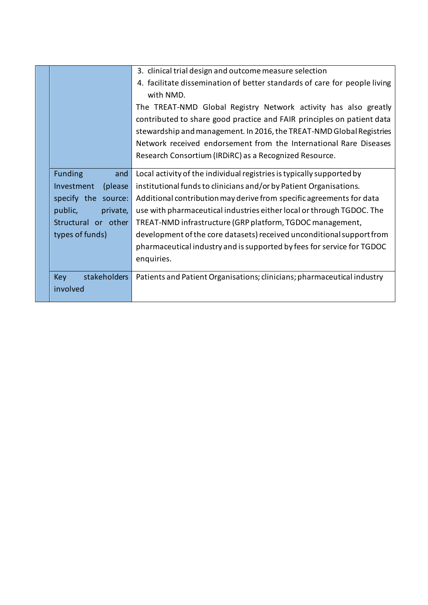|                |                     | 3. clinical trial design and outcome measure selection                    |
|----------------|---------------------|---------------------------------------------------------------------------|
|                |                     | 4. facilitate dissemination of better standards of care for people living |
|                |                     | with NMD.                                                                 |
|                |                     | The TREAT-NMD Global Registry Network activity has also greatly           |
|                |                     | contributed to share good practice and FAIR principles on patient data    |
|                |                     | stewardship and management. In 2016, the TREAT-NMD Global Registries      |
|                |                     | Network received endorsement from the International Rare Diseases         |
|                |                     | Research Consortium (IRDIRC) as a Recognized Resource.                    |
|                |                     |                                                                           |
| <b>Funding</b> | and                 | Local activity of the individual registries is typically supported by     |
| Investment     | (please)            | institutional funds to clinicians and/or by Patient Organisations.        |
|                | specify the source: | Additional contribution may derive from specific agreements for data      |
| public,        | private,            | use with pharmaceutical industries either local or through TGDOC. The     |
|                | Structural or other | TREAT-NMD infrastructure (GRP platform, TGDOC management,                 |
|                | types of funds)     | development of the core datasets) received unconditional support from     |
|                |                     | pharmaceutical industry and is supported by fees for service for TGDOC    |
|                |                     | enquiries.                                                                |
|                |                     |                                                                           |
| <b>Key</b>     | stakeholders        | Patients and Patient Organisations; clinicians; pharmaceutical industry   |
| involved       |                     |                                                                           |
|                |                     |                                                                           |

 $\overline{\phantom{a}}$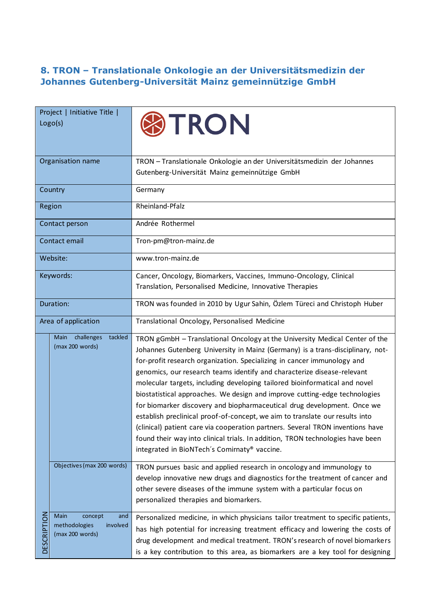#### <span id="page-19-0"></span>**8. TRON – Translationale Onkologie an der Universitätsmedizin der Johannes Gutenberg-Universität Mainz gemeinnützige GmbH**

| Project   Initiative Title  <br>Logo(s)                                                      | TRON                                                                                                                                                                                                                                                                                                                                                                                                                                                                                                                                                                                                                                                                                                                                                                                                                                                           |
|----------------------------------------------------------------------------------------------|----------------------------------------------------------------------------------------------------------------------------------------------------------------------------------------------------------------------------------------------------------------------------------------------------------------------------------------------------------------------------------------------------------------------------------------------------------------------------------------------------------------------------------------------------------------------------------------------------------------------------------------------------------------------------------------------------------------------------------------------------------------------------------------------------------------------------------------------------------------|
| Organisation name                                                                            | TRON - Translationale Onkologie an der Universitätsmedizin der Johannes<br>Gutenberg-Universität Mainz gemeinnützige GmbH                                                                                                                                                                                                                                                                                                                                                                                                                                                                                                                                                                                                                                                                                                                                      |
| Country                                                                                      | Germany                                                                                                                                                                                                                                                                                                                                                                                                                                                                                                                                                                                                                                                                                                                                                                                                                                                        |
| Region                                                                                       | Rheinland-Pfalz                                                                                                                                                                                                                                                                                                                                                                                                                                                                                                                                                                                                                                                                                                                                                                                                                                                |
| Contact person                                                                               | Andrée Rothermel                                                                                                                                                                                                                                                                                                                                                                                                                                                                                                                                                                                                                                                                                                                                                                                                                                               |
| Contact email                                                                                | Tron-pm@tron-mainz.de                                                                                                                                                                                                                                                                                                                                                                                                                                                                                                                                                                                                                                                                                                                                                                                                                                          |
| Website:                                                                                     | www.tron-mainz.de                                                                                                                                                                                                                                                                                                                                                                                                                                                                                                                                                                                                                                                                                                                                                                                                                                              |
| Keywords:                                                                                    | Cancer, Oncology, Biomarkers, Vaccines, Immuno-Oncology, Clinical<br>Translation, Personalised Medicine, Innovative Therapies                                                                                                                                                                                                                                                                                                                                                                                                                                                                                                                                                                                                                                                                                                                                  |
| Duration:                                                                                    | TRON was founded in 2010 by Ugur Sahin, Özlem Türeci and Christoph Huber                                                                                                                                                                                                                                                                                                                                                                                                                                                                                                                                                                                                                                                                                                                                                                                       |
| Area of application                                                                          | Translational Oncology, Personalised Medicine                                                                                                                                                                                                                                                                                                                                                                                                                                                                                                                                                                                                                                                                                                                                                                                                                  |
| challenges<br>tackled<br>Main<br>(max 200 words)                                             | TRON gGmbH - Translational Oncology at the University Medical Center of the<br>Johannes Gutenberg University in Mainz (Germany) is a trans-disciplinary, not-<br>for-profit research organization. Specializing in cancer immunology and<br>genomics, our research teams identify and characterize disease-relevant<br>molecular targets, including developing tailored bioinformatical and novel<br>biostatistical approaches. We design and improve cutting-edge technologies<br>for biomarker discovery and biopharmaceutical drug development. Once we<br>establish preclinical proof-of-concept, we aim to translate our results into<br>(clinical) patient care via cooperation partners. Several TRON inventions have<br>found their way into clinical trials. In addition, TRON technologies have been<br>integrated in BioNTech's Comirnaty® vaccine. |
| Objectives (max 200 words)                                                                   | TRON pursues basic and applied research in oncology and immunology to<br>develop innovative new drugs and diagnostics for the treatment of cancer and<br>other severe diseases of the immune system with a particular focus on<br>personalized therapies and biomarkers.                                                                                                                                                                                                                                                                                                                                                                                                                                                                                                                                                                                       |
| <b>DESCRIPTION</b><br>Main<br>concept<br>and<br>methodologies<br>involved<br>(max 200 words) | Personalized medicine, in which physicians tailor treatment to specific patients,<br>has high potential for increasing treatment efficacy and lowering the costs of<br>drug development and medical treatment. TRON's research of novel biomarkers<br>is a key contribution to this area, as biomarkers are a key tool for designing                                                                                                                                                                                                                                                                                                                                                                                                                                                                                                                           |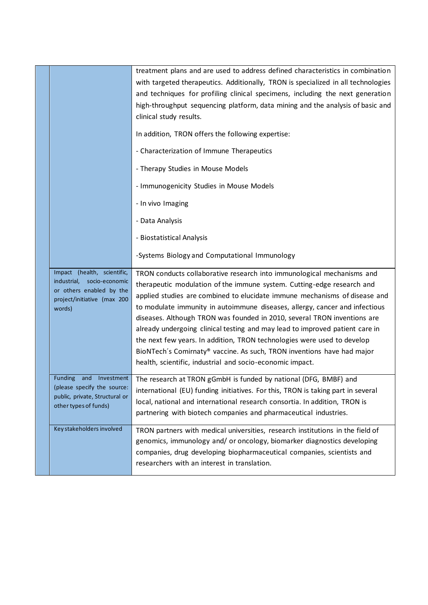|                                                           | treatment plans and are used to address defined characteristics in combination    |
|-----------------------------------------------------------|-----------------------------------------------------------------------------------|
|                                                           | with targeted therapeutics. Additionally, TRON is specialized in all technologies |
|                                                           | and techniques for profiling clinical specimens, including the next generation    |
|                                                           | high-throughput sequencing platform, data mining and the analysis of basic and    |
|                                                           | clinical study results.                                                           |
|                                                           |                                                                                   |
|                                                           | In addition, TRON offers the following expertise:                                 |
|                                                           | - Characterization of Immune Therapeutics                                         |
|                                                           |                                                                                   |
|                                                           | - Therapy Studies in Mouse Models                                                 |
|                                                           | - Immunogenicity Studies in Mouse Models                                          |
|                                                           | - In vivo Imaging                                                                 |
|                                                           | - Data Analysis                                                                   |
|                                                           | - Biostatistical Analysis                                                         |
|                                                           | -Systems Biology and Computational Immunology                                     |
| Impact (health, scientific,                               | TRON conducts collaborative research into immunological mechanisms and            |
| industrial,<br>socio-economic<br>or others enabled by the | therapeutic modulation of the immune system. Cutting-edge research and            |
| project/initiative (max 200                               | applied studies are combined to elucidate immune mechanisms of disease and        |
| words)                                                    | to modulate immunity in autoimmune diseases, allergy, cancer and infectious       |
|                                                           | diseases. Although TRON was founded in 2010, several TRON inventions are          |
|                                                           | already undergoing clinical testing and may lead to improved patient care in      |
|                                                           | the next few years. In addition, TRON technologies were used to develop           |
|                                                           |                                                                                   |
|                                                           | BioNTech's Comirnaty® vaccine. As such, TRON inventions have had major            |
|                                                           | health, scientific, industrial and socio-economic impact.                         |
| <b>Funding</b><br>and Investment                          | The research at TRON gGmbH is funded by national (DFG, BMBF) and                  |
| (please specify the source:                               | international (EU) funding initiatives. For this, TRON is taking part in several  |
| public, private, Structural or                            | local, national and international research consortia. In addition, TRON is        |
| other types of funds)                                     | partnering with biotech companies and pharmaceutical industries.                  |
| Key stakeholders involved                                 | TRON partners with medical universities, research institutions in the field of    |
|                                                           | genomics, immunology and/ or oncology, biomarker diagnostics developing           |
|                                                           | companies, drug developing biopharmaceutical companies, scientists and            |
|                                                           | researchers with an interest in translation.                                      |

 $\overline{\phantom{a}}$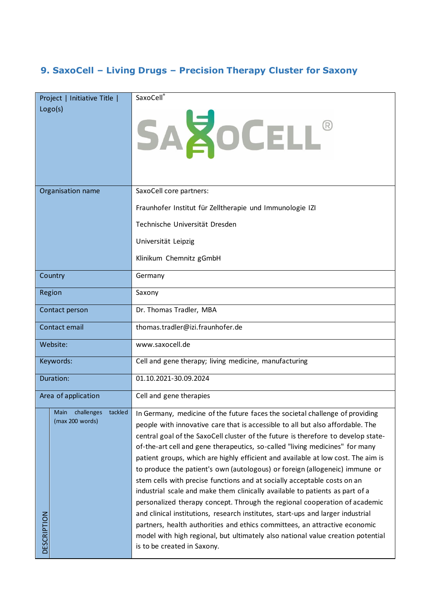### <span id="page-21-0"></span>**9. SaxoCell – Living Drugs – Precision Therapy Cluster for Saxony**

| Project   Initiative Title  <br>Logo(s)                      | SaxoCell®<br>SAZOCELL®                                                                                                                                                                                                                                                                                                                                                                                                                                                                                                                                                                                                                                                                                                                                                                                                                                                                                                                                                                                                              |
|--------------------------------------------------------------|-------------------------------------------------------------------------------------------------------------------------------------------------------------------------------------------------------------------------------------------------------------------------------------------------------------------------------------------------------------------------------------------------------------------------------------------------------------------------------------------------------------------------------------------------------------------------------------------------------------------------------------------------------------------------------------------------------------------------------------------------------------------------------------------------------------------------------------------------------------------------------------------------------------------------------------------------------------------------------------------------------------------------------------|
| Organisation name                                            | SaxoCell core partners:<br>Fraunhofer Institut für Zelltherapie und Immunologie IZI<br>Technische Universität Dresden<br>Universität Leipzig                                                                                                                                                                                                                                                                                                                                                                                                                                                                                                                                                                                                                                                                                                                                                                                                                                                                                        |
|                                                              | Klinikum Chemnitz gGmbH                                                                                                                                                                                                                                                                                                                                                                                                                                                                                                                                                                                                                                                                                                                                                                                                                                                                                                                                                                                                             |
| Country                                                      | Germany                                                                                                                                                                                                                                                                                                                                                                                                                                                                                                                                                                                                                                                                                                                                                                                                                                                                                                                                                                                                                             |
| Region                                                       | Saxony                                                                                                                                                                                                                                                                                                                                                                                                                                                                                                                                                                                                                                                                                                                                                                                                                                                                                                                                                                                                                              |
| Contact person                                               | Dr. Thomas Tradler, MBA                                                                                                                                                                                                                                                                                                                                                                                                                                                                                                                                                                                                                                                                                                                                                                                                                                                                                                                                                                                                             |
| Contact email                                                | thomas.tradler@izi.fraunhofer.de                                                                                                                                                                                                                                                                                                                                                                                                                                                                                                                                                                                                                                                                                                                                                                                                                                                                                                                                                                                                    |
| Website:                                                     | www.saxocell.de                                                                                                                                                                                                                                                                                                                                                                                                                                                                                                                                                                                                                                                                                                                                                                                                                                                                                                                                                                                                                     |
| Keywords:                                                    | Cell and gene therapy; living medicine, manufacturing                                                                                                                                                                                                                                                                                                                                                                                                                                                                                                                                                                                                                                                                                                                                                                                                                                                                                                                                                                               |
| Duration:                                                    | 01.10.2021-30.09.2024                                                                                                                                                                                                                                                                                                                                                                                                                                                                                                                                                                                                                                                                                                                                                                                                                                                                                                                                                                                                               |
| Area of application                                          | Cell and gene therapies                                                                                                                                                                                                                                                                                                                                                                                                                                                                                                                                                                                                                                                                                                                                                                                                                                                                                                                                                                                                             |
| Main challenges<br>tackled<br>(max 200 words)<br>DESCRIPTION | In Germany, medicine of the future faces the societal challenge of providing<br>people with innovative care that is accessible to all but also affordable. The<br>central goal of the SaxoCell cluster of the future is therefore to develop state-<br>of-the-art cell and gene therapeutics, so-called "living medicines" for many<br>patient groups, which are highly efficient and available at low cost. The aim is<br>to produce the patient's own (autologous) or foreign (allogeneic) immune or<br>stem cells with precise functions and at socially acceptable costs on an<br>industrial scale and make them clinically available to patients as part of a<br>personalized therapy concept. Through the regional cooperation of academic<br>and clinical institutions, research institutes, start-ups and larger industrial<br>partners, health authorities and ethics committees, an attractive economic<br>model with high regional, but ultimately also national value creation potential<br>is to be created in Saxony. |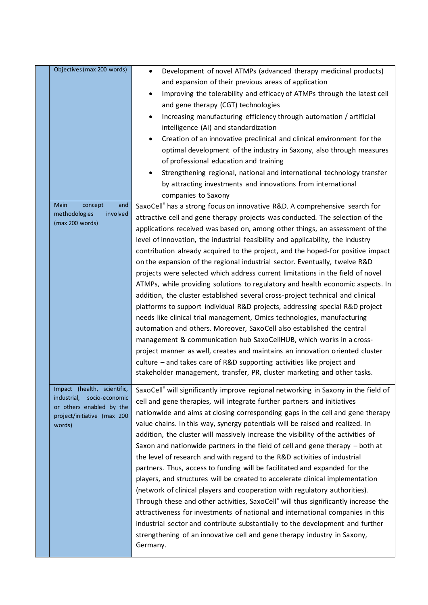| Objectives (max 200 words)                                                                                                        | Development of novel ATMPs (advanced therapy medicinal products)<br>$\bullet$<br>and expansion of their previous areas of application<br>Improving the tolerability and efficacy of ATMPs through the latest cell<br>$\bullet$<br>and gene therapy (CGT) technologies<br>Increasing manufacturing efficiency through automation / artificial<br>intelligence (AI) and standardization<br>Creation of an innovative preclinical and clinical environment for the<br>optimal development of the industry in Saxony, also through measures<br>of professional education and training<br>Strengthening regional, national and international technology transfer<br>by attracting investments and innovations from international<br>companies to Saxony                                                                                                                                                                                                                                                                                                                                                                                                                                                                                                                                                      |
|-----------------------------------------------------------------------------------------------------------------------------------|---------------------------------------------------------------------------------------------------------------------------------------------------------------------------------------------------------------------------------------------------------------------------------------------------------------------------------------------------------------------------------------------------------------------------------------------------------------------------------------------------------------------------------------------------------------------------------------------------------------------------------------------------------------------------------------------------------------------------------------------------------------------------------------------------------------------------------------------------------------------------------------------------------------------------------------------------------------------------------------------------------------------------------------------------------------------------------------------------------------------------------------------------------------------------------------------------------------------------------------------------------------------------------------------------------|
| and<br>Main<br>concept<br>methodologies<br>involved<br>(max 200 words)                                                            | SaxoCell® has a strong focus on innovative R&D. A comprehensive search for<br>attractive cell and gene therapy projects was conducted. The selection of the<br>applications received was based on, among other things, an assessment of the<br>level of innovation, the industrial feasibility and applicability, the industry<br>contribution already acquired to the project, and the hoped-for positive impact<br>on the expansion of the regional industrial sector. Eventually, twelve R&D<br>projects were selected which address current limitations in the field of novel<br>ATMPs, while providing solutions to regulatory and health economic aspects. In<br>addition, the cluster established several cross-project technical and clinical<br>platforms to support individual R&D projects, addressing special R&D project<br>needs like clinical trial management, Omics technologies, manufacturing<br>automation and others. Moreover, SaxoCell also established the central<br>management & communication hub SaxoCellHUB, which works in a cross-<br>project manner as well, creates and maintains an innovation oriented cluster<br>culture – and takes care of R&D supporting activities like project and<br>stakeholder management, transfer, PR, cluster marketing and other tasks. |
| Impact (health, scientific,<br>industrial,<br>socio-economic<br>or others enabled by the<br>project/initiative (max 200<br>words) | SaxoCell® will significantly improve regional networking in Saxony in the field of<br>cell and gene therapies, will integrate further partners and initiatives<br>nationwide and aims at closing corresponding gaps in the cell and gene therapy<br>value chains. In this way, synergy potentials will be raised and realized. In<br>addition, the cluster will massively increase the visibility of the activities of<br>Saxon and nationwide partners in the field of cell and gene therapy $-$ both at<br>the level of research and with regard to the R&D activities of industrial<br>partners. Thus, access to funding will be facilitated and expanded for the<br>players, and structures will be created to accelerate clinical implementation<br>(network of clinical players and cooperation with regulatory authorities).<br>Through these and other activities, SaxoCell® will thus significantly increase the<br>attractiveness for investments of national and international companies in this<br>industrial sector and contribute substantially to the development and further<br>strengthening of an innovative cell and gene therapy industry in Saxony,<br>Germany.                                                                                                                    |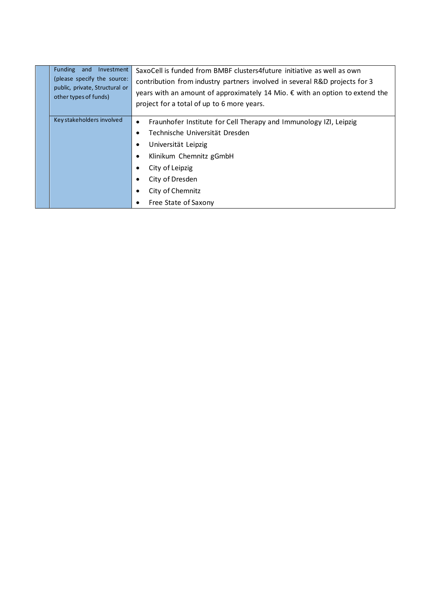| Funding and Investment<br>(please specify the source:<br>public, private, Structural or<br>other types of funds) | SaxoCell is funded from BMBF clusters4future initiative as well as own<br>contribution from industry partners involved in several R&D projects for 3<br>years with an amount of approximately 14 Mio. € with an option to extend the<br>project for a total of up to 6 more years. |
|------------------------------------------------------------------------------------------------------------------|------------------------------------------------------------------------------------------------------------------------------------------------------------------------------------------------------------------------------------------------------------------------------------|
| Key stakeholders involved                                                                                        | Fraunhofer Institute for Cell Therapy and Immunology IZI, Leipzig<br>$\bullet$<br>Technische Universität Dresden<br>Universität Leipzig<br>Klinikum Chemnitz gGmbH<br>City of Leipzig<br>City of Dresden<br>City of Chemnitz<br>Free State of Saxony                               |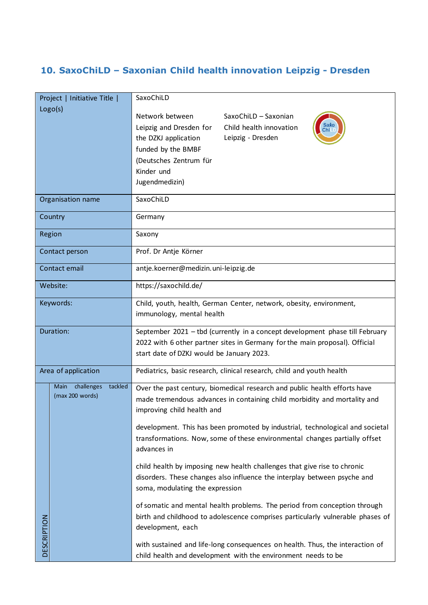### <span id="page-24-0"></span>**10. SaxoChiLD – Saxonian Child health innovation Leipzig - Dresden**

| Project   Initiative Title |                                                  | SaxoChiLD                                                                                                                                                                                                                                              |
|----------------------------|--------------------------------------------------|--------------------------------------------------------------------------------------------------------------------------------------------------------------------------------------------------------------------------------------------------------|
|                            | Logo(s)                                          | Network between<br>SaxoChiLD - Saxonian<br>Saxo<br>Leipzig and Dresden for<br>Child health innovation<br>Chi <sub>L</sub><br>Leipzig - Dresden<br>the DZKJ application<br>funded by the BMBF<br>(Deutsches Zentrum für<br>Kinder und<br>Jugendmedizin) |
| Organisation name          |                                                  | SaxoChiLD                                                                                                                                                                                                                                              |
| Country                    |                                                  | Germany                                                                                                                                                                                                                                                |
| Region                     |                                                  | Saxony                                                                                                                                                                                                                                                 |
| Contact person             |                                                  | Prof. Dr Antje Körner                                                                                                                                                                                                                                  |
| Contact email              |                                                  | antje.koerner@medizin.uni-leipzig.de                                                                                                                                                                                                                   |
| Website:                   |                                                  | https://saxochild.de/                                                                                                                                                                                                                                  |
| Keywords:                  |                                                  | Child, youth, health, German Center, network, obesity, environment,<br>immunology, mental health                                                                                                                                                       |
| Duration:                  |                                                  | September 2021 - tbd (currently in a concept development phase till February<br>2022 with 6 other partner sites in Germany for the main proposal). Official<br>start date of DZKJ would be January 2023.                                               |
| Area of application        |                                                  | Pediatrics, basic research, clinical research, child and youth health                                                                                                                                                                                  |
|                            | tackled<br>Main<br>challenges<br>(max 200 words) | Over the past century, biomedical research and public health efforts have<br>made tremendous advances in containing child morbidity and mortality and<br>improving child health and                                                                    |
|                            |                                                  | development. This has been promoted by industrial, technological and societal<br>transformations. Now, some of these environmental changes partially offset<br>advances in                                                                             |
|                            |                                                  | child health by imposing new health challenges that give rise to chronic<br>disorders. These changes also influence the interplay between psyche and<br>soma, modulating the expression                                                                |
| <b>DESCRIPTION</b>         |                                                  | of somatic and mental health problems. The period from conception through<br>birth and childhood to adolescence comprises particularly vulnerable phases of<br>development, each                                                                       |
|                            |                                                  | with sustained and life-long consequences on health. Thus, the interaction of<br>child health and development with the environment needs to be                                                                                                         |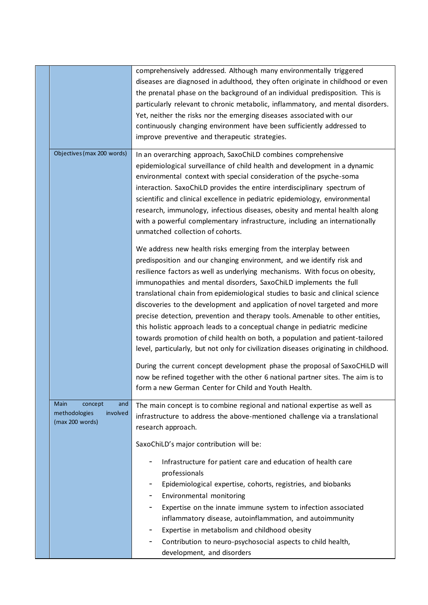|                                                                        | comprehensively addressed. Although many environmentally triggered<br>diseases are diagnosed in adulthood, they often originate in childhood or even<br>the prenatal phase on the background of an individual predisposition. This is<br>particularly relevant to chronic metabolic, inflammatory, and mental disorders.<br>Yet, neither the risks nor the emerging diseases associated with our<br>continuously changing environment have been sufficiently addressed to<br>improve preventive and therapeutic strategies.                                                                                                                                                                                                                                                                                                                                                                                                                                        |
|------------------------------------------------------------------------|--------------------------------------------------------------------------------------------------------------------------------------------------------------------------------------------------------------------------------------------------------------------------------------------------------------------------------------------------------------------------------------------------------------------------------------------------------------------------------------------------------------------------------------------------------------------------------------------------------------------------------------------------------------------------------------------------------------------------------------------------------------------------------------------------------------------------------------------------------------------------------------------------------------------------------------------------------------------|
| Objectives (max 200 words)                                             | In an overarching approach, SaxoChiLD combines comprehensive<br>epidemiological surveillance of child health and development in a dynamic<br>environmental context with special consideration of the psyche-soma<br>interaction. SaxoChiLD provides the entire interdisciplinary spectrum of<br>scientific and clinical excellence in pediatric epidemiology, environmental<br>research, immunology, infectious diseases, obesity and mental health along<br>with a powerful complementary infrastructure, including an internationally<br>unmatched collection of cohorts.                                                                                                                                                                                                                                                                                                                                                                                        |
|                                                                        | We address new health risks emerging from the interplay between<br>predisposition and our changing environment, and we identify risk and<br>resilience factors as well as underlying mechanisms. With focus on obesity,<br>immunopathies and mental disorders, SaxoChiLD implements the full<br>translational chain from epidemiological studies to basic and clinical science<br>discoveries to the development and application of novel targeted and more<br>precise detection, prevention and therapy tools. Amenable to other entities,<br>this holistic approach leads to a conceptual change in pediatric medicine<br>towards promotion of child health on both, a population and patient-tailored<br>level, particularly, but not only for civilization diseases originating in childhood.<br>During the current concept development phase the proposal of SaxoCHiLD will<br>now be refined together with the other 6 national partner sites. The aim is to |
| Main<br>concept<br>and<br>methodologies<br>involved<br>(max 200 words) | form a new German Center for Child and Youth Health.<br>The main concept is to combine regional and national expertise as well as<br>infrastructure to address the above-mentioned challenge via a translational<br>research approach.<br>SaxoChiLD's major contribution will be:                                                                                                                                                                                                                                                                                                                                                                                                                                                                                                                                                                                                                                                                                  |
|                                                                        | Infrastructure for patient care and education of health care<br>professionals<br>Epidemiological expertise, cohorts, registries, and biobanks<br>Environmental monitoring<br>Expertise on the innate immune system to infection associated<br>inflammatory disease, autoinflammation, and autoimmunity<br>Expertise in metabolism and childhood obesity<br>Contribution to neuro-psychosocial aspects to child health,<br>development, and disorders                                                                                                                                                                                                                                                                                                                                                                                                                                                                                                               |